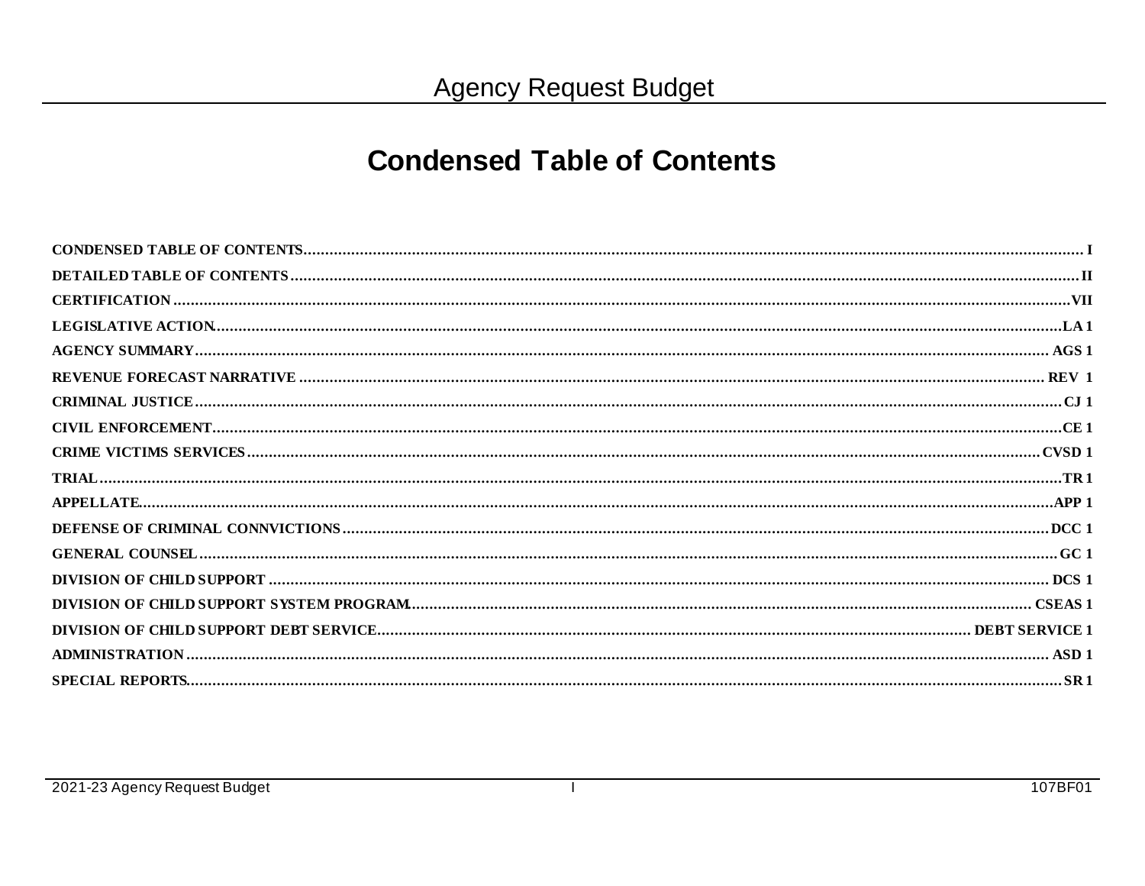### **Condensed Table of Contents**

 $\mathbf{I}$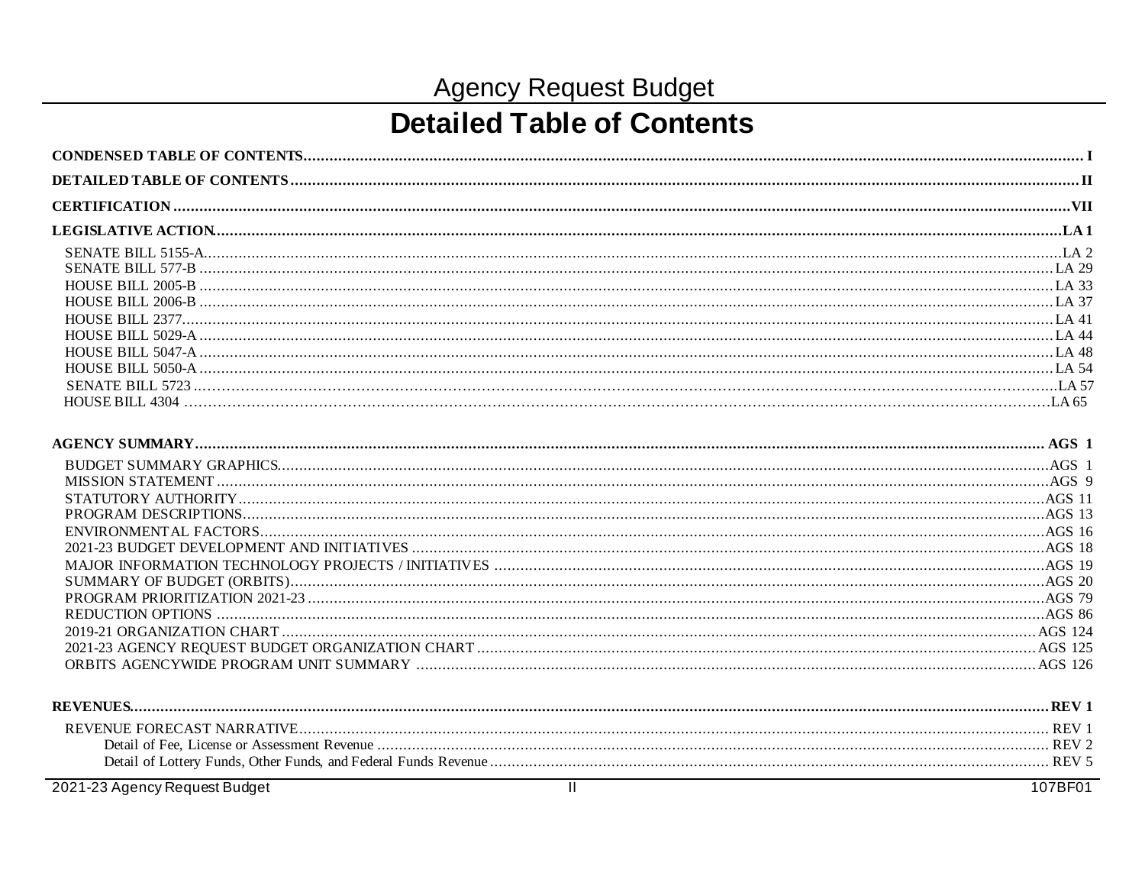# **Detailed Table of Contents**

| <b>REVENUE</b> | Кŀ               |
|----------------|------------------|
|                |                  |
|                |                  |
|                | REV <sub>5</sub> |
|                | 1000000001       |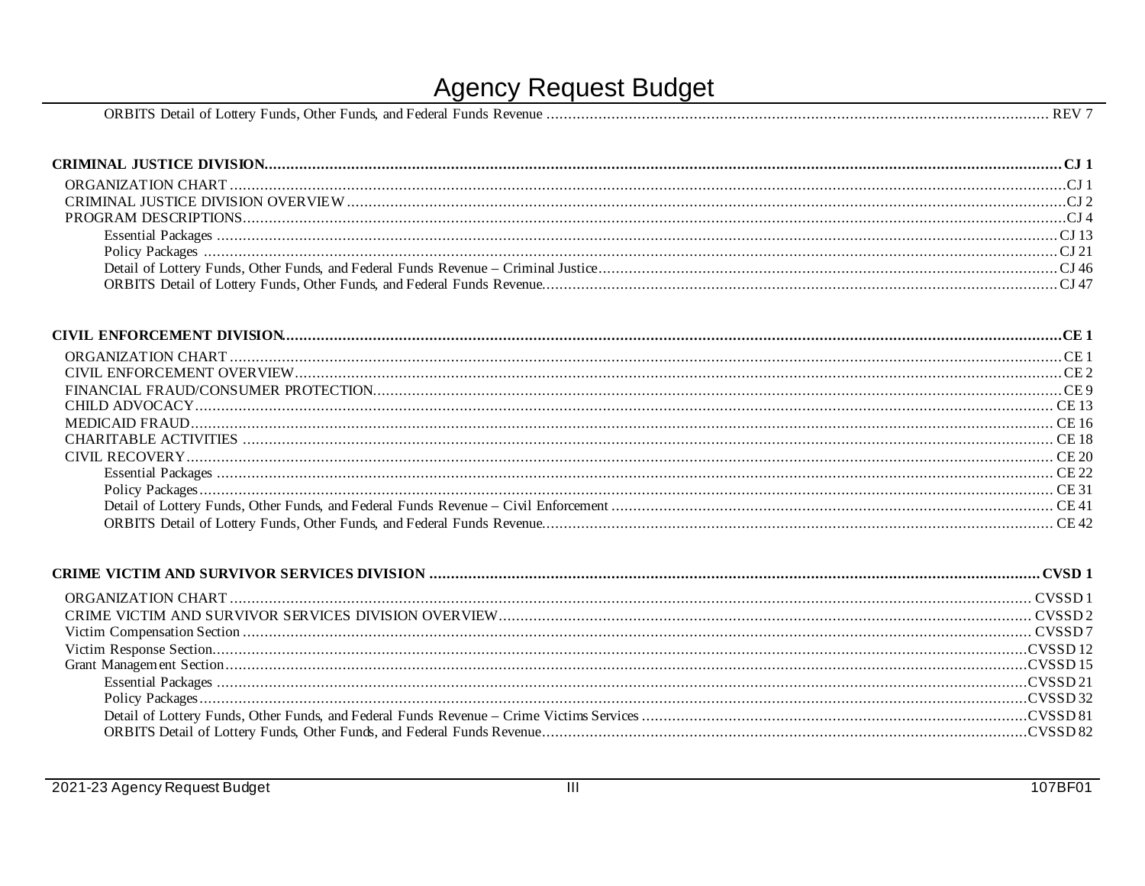| Detail of Lottery<br>ORBITS<br>and Federal<br>Other Funds.<br>$P$ evenue<br>Funds.<br>Funds. |
|----------------------------------------------------------------------------------------------|
|----------------------------------------------------------------------------------------------|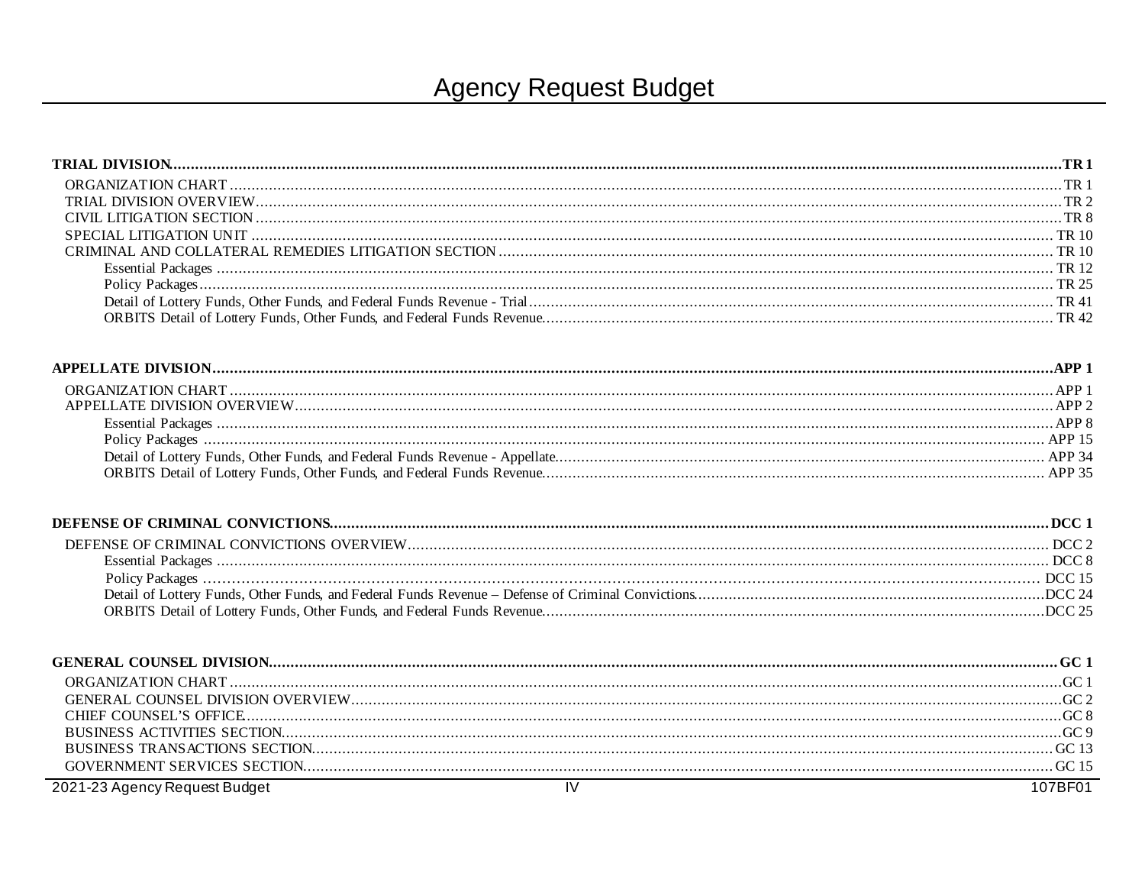| 2021-23 Agency Request Budget | $\overline{N}$<br>107BF01 |
|-------------------------------|---------------------------|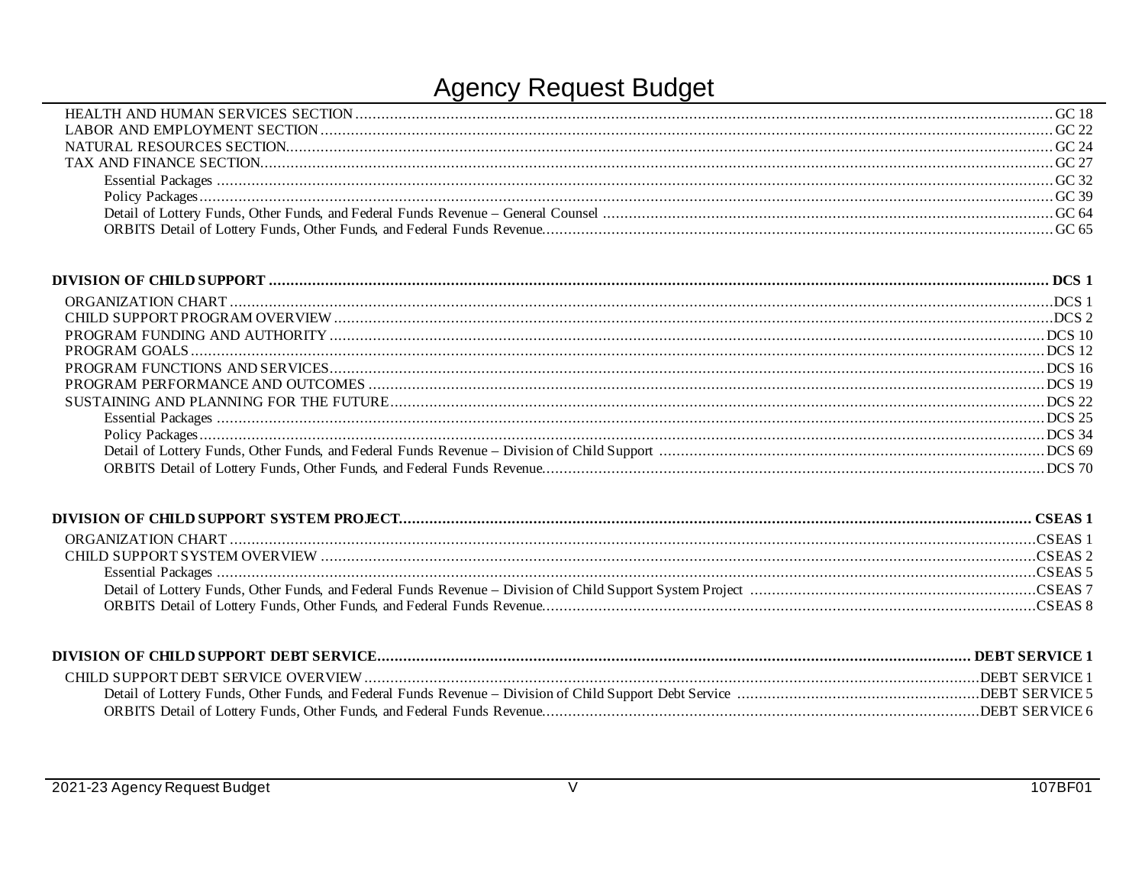| DEBT SERVICE 1 |
|----------------|
|                |
| DEBT SERVICE 6 |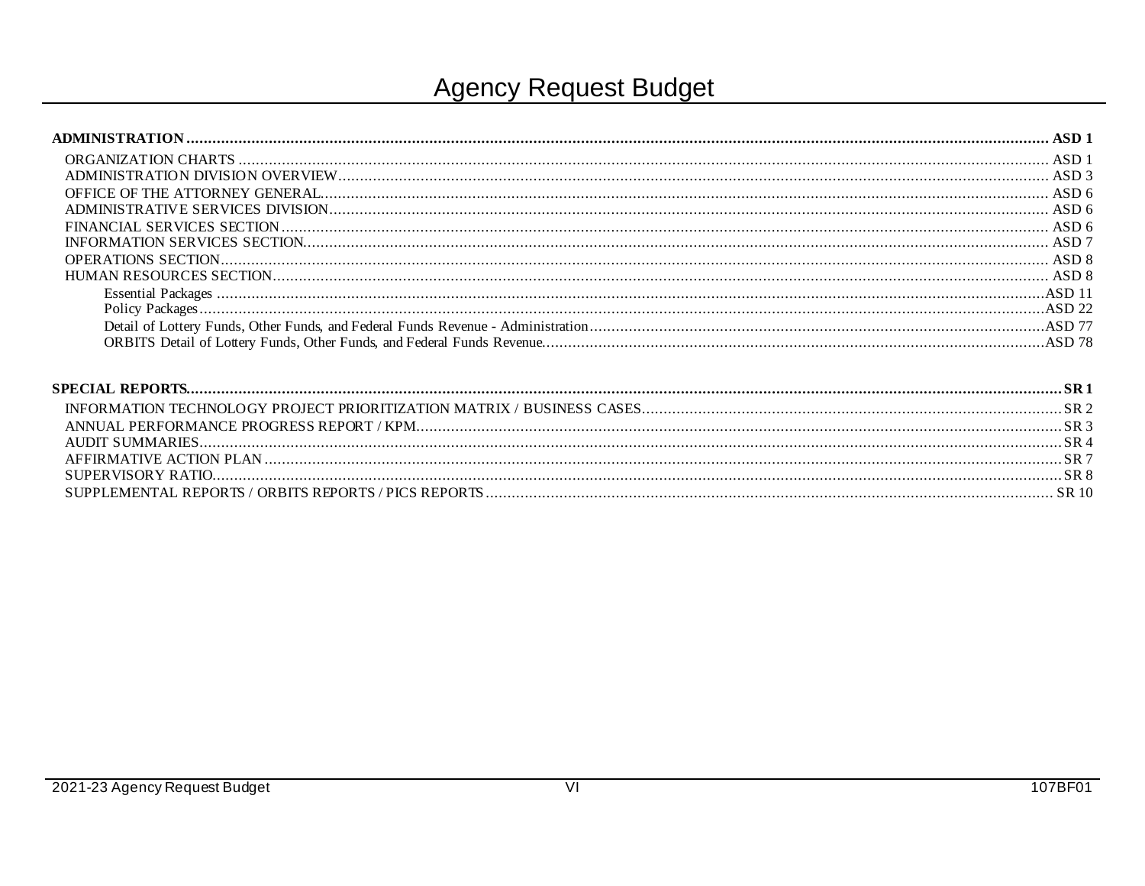| ASD <sub>3</sub> |
|------------------|
|                  |
| ASD6             |
| ASD6             |
|                  |
|                  |
| ASD 8            |
|                  |
|                  |
|                  |
|                  |
|                  |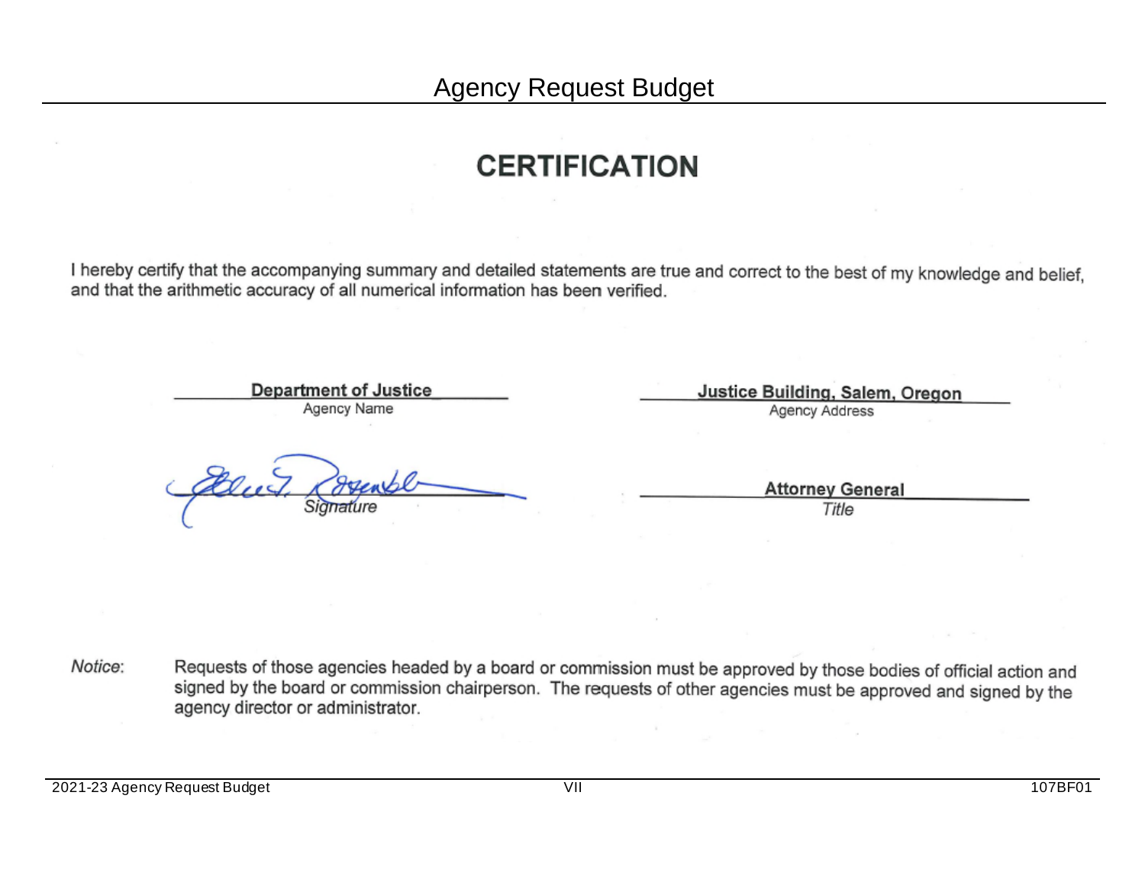## **CERTIFICATION**

I hereby certify that the accompanying summary and detailed statements are true and correct to the best of my knowledge and belief, and that the arithmetic accuracy of all numerical information has been verified.

> **Department of Justice** Agency Name

Justice Building, Salem, Oregon **Agency Address** 

> **Attorney General** Title

Requests of those agencies headed by a board or commission must be approved by those bodies of official action and Notice: signed by the board or commission chairperson. The requests of other agencies must be approved and signed by the agency director or administrator.